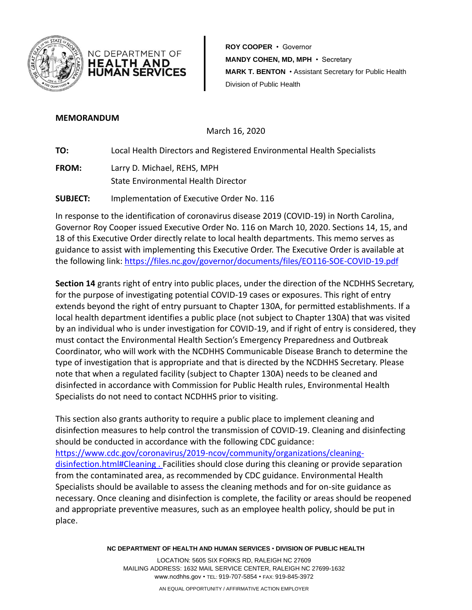

**ROY COOPER** • Governor NC DEPARTMENT OF **MANDY COHEN, MD, MPH** • Secretary HEALTH AND **HUMAN SERVICES MARK T. BENTON** • Assistant Secretary for Public Health Division of Public Health

## **MEMORANDUM**

March 16, 2020

**TO:** Local Health Directors and Registered Environmental Health Specialists

**FROM:** Larry D. Michael, REHS, MPH State Environmental Health Director

**SUBJECT:** Implementation of Executive Order No. 116

In response to the identification of coronavirus disease 2019 (COVID-19) in North Carolina, Governor Roy Cooper issued Executive Order No. 116 on March 10, 2020. Sections 14, 15, and 18 of this Executive Order directly relate to local health departments. This memo serves as guidance to assist with implementing this Executive Order. The Executive Order is available at the following link: <https://files.nc.gov/governor/documents/files/EO116-SOE-COVID-19.pdf>

**Section 14** grants right of entry into public places, under the direction of the NCDHHS Secretary, for the purpose of investigating potential COVID-19 cases or exposures. This right of entry extends beyond the right of entry pursuant to Chapter 130A, for permitted establishments. If a local health department identifies a public place (not subject to Chapter 130A) that was visited by an individual who is under investigation for COVID-19, and if right of entry is considered, they must contact the Environmental Health Section's Emergency Preparedness and Outbreak Coordinator, who will work with the NCDHHS Communicable Disease Branch to determine the type of investigation that is appropriate and that is directed by the NCDHHS Secretary. Please note that when a regulated facility (subject to Chapter 130A) needs to be cleaned and disinfected in accordance with Commission for Public Health rules, Environmental Health Specialists do not need to contact NCDHHS prior to visiting.

This section also grants authority to require a public place to implement cleaning and disinfection measures to help control the transmission of COVID-19. Cleaning and disinfecting should be conducted in accordance with the following CDC guidance: [https://www.cdc.gov/coronavirus/2019-ncov/community/organizations/cleaning](https://www.cdc.gov/coronavirus/2019-ncov/community/organizations/cleaning-disinfection.html#Cleaning)[disinfection.html#Cleaning](https://www.cdc.gov/coronavirus/2019-ncov/community/organizations/cleaning-disinfection.html#Cleaning) . Facilities should close during this cleaning or provide separation from the contaminated area, as recommended by CDC guidance. Environmental Health Specialists should be available to assess the cleaning methods and for on-site guidance as necessary. Once cleaning and disinfection is complete, the facility or areas should be reopened and appropriate preventive measures, such as an employee health policy, should be put in place.

**NC DEPARTMENT OF HEALTH AND HUMAN SERVICES** • **DIVISION OF PUBLIC HEALTH**

LOCATION: 5605 SIX FORKS RD, RALEIGH NC 27609 MAILING ADDRESS: 1632 MAIL SERVICE CENTER, RALEIGH NC 27699-1632 www.ncdhhs.gov • TEL: 919-707-5854 • FAX: 919-845-3972